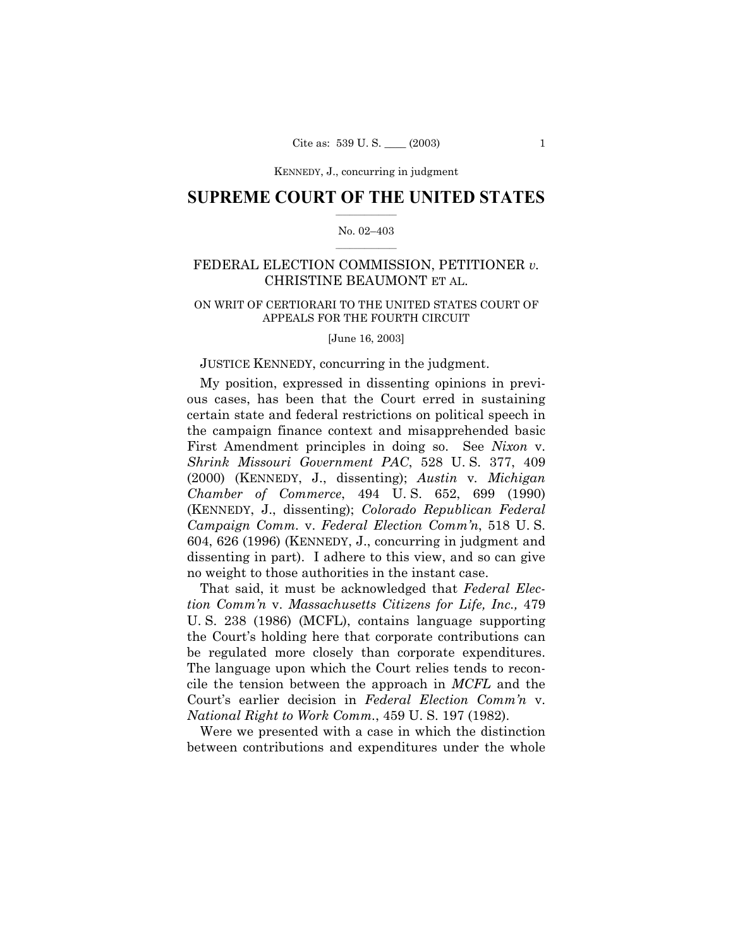KENNEDY, J., concurring in judgment

### **SUPREME COURT OF THE UNITED STATES**  $\mathcal{L}=\mathcal{L}^{\mathcal{L}}$

#### No. 02-403  $\mathcal{L}=\mathcal{L}^{\mathcal{L}}$

# FEDERAL ELECTION COMMISSION, PETITIONER *v.* CHRISTINE BEAUMONT ET AL.

### ON WRIT OF CERTIORARI TO THE UNITED STATES COURT OF APPEALS FOR THE FOURTH CIRCUIT

[June 16, 2003]

#### JUSTICE KENNEDY, concurring in the judgment.

My position, expressed in dissenting opinions in previous cases, has been that the Court erred in sustaining certain state and federal restrictions on political speech in the campaign finance context and misapprehended basic First Amendment principles in doing so. See *Nixon* v. *Shrink Missouri Government PAC*, 528 U. S. 377, 409 (2000) (KENNEDY, J., dissenting); *Austin* v*. Michigan Chamber of Commerce*, 494 U. S. 652, 699 (1990) (KENNEDY, J., dissenting); *Colorado Republican Federal Campaign Comm.* v. *Federal Election Commín*, 518 U. S. 604, 626 (1996) (KENNEDY, J., concurring in judgment and dissenting in part). I adhere to this view, and so can give no weight to those authorities in the instant case.

That said, it must be acknowledged that *Federal Election Commín* v. *Massachusetts Citizens for Life, Inc.,* 479 U. S. 238 (1986) (MCFL), contains language supporting the Court's holding here that corporate contributions can be regulated more closely than corporate expenditures. The language upon which the Court relies tends to reconcile the tension between the approach in *MCFL* and the Courtís earlier decision in *Federal Election Commín* v. *National Right to Work Comm.*, 459 U. S. 197 (1982).

Were we presented with a case in which the distinction between contributions and expenditures under the whole